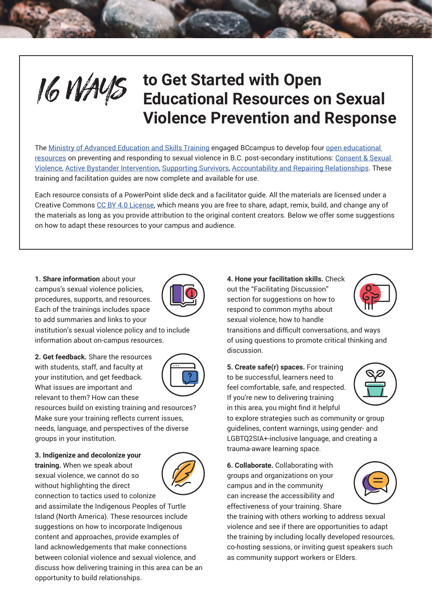

# **16 MAYS** to Get Started with Open<br> **Educational Resources of Educational Resources on Sexual Violence Prevention and Response**

The [Ministry of Advanced Education and Skills Training](https://www2.gov.bc.ca/gov/content/safe-campuses-bc) engaged BCcampus to develop four [open educational](https://bccampus.ca/projects/wellness/preventing-sexual-violence/)  [resources](https://bccampus.ca/projects/wellness/preventing-sexual-violence/) on preventing and responding to sexual violence in B.C. post-secondary institutions: [Consent & Sexual](https://opentextbc.ca/svmconsent/)  [Violence](https://opentextbc.ca/svmconsent/), [Active Bystander Intervention](https://opentextbc.ca/svmbystander/), [Supporting Survivors](https://opentextbc.ca/svmsurvivors/), [Accountability and Repairing Relationships](https://opentextbc.ca/svmaccandrep/). These training and facilitation guides are now complete and available for use.

Each resource consists of a PowerPoint slide deck and a facilitator guide. All the materials are licensed under a Creative Commons [CC BY 4.0 License](https://creativecommons.org/licenses/by/4.0/), which means you are free to share, adapt, remix, build, and change any of the materials as long as you provide attribution to the original content creators. Below we offer some suggestions on how to adapt these resources to your campus and audience.

**1. Share information** about your campus's sexual violence policies, procedures, supports, and resources. Each of the trainings includes space to add summaries and links to your



institution's sexual violence policy and to include information about on-campus resources.

**2. Get feedback.** Share the resources with students, staff, and faculty at your institution, and get feedback. What issues are important and relevant to them? How can these



resources build on existing training and resources? Make sure your training reflects current issues, needs, language, and perspectives of the diverse groups in your institution.

**3. Indigenize and decolonize your training.** When we speak about sexual violence, we cannot do so without highlighting the direct connection to tactics used to colonize



and assimilate the Indigenous Peoples of Turtle Island (North America). These resources include suggestions on how to incorporate Indigenous content and approaches, provide examples of land acknowledgements that make connections between colonial violence and sexual violence, and discuss how delivering training in this area can be an opportunity to build relationships.

**4. Hone your facilitation skills.** Check out the "Facilitating Discussion" section for suggestions on how to respond to common myths about sexual violence, how to handle



transitions and difficult conversations, and ways of using questions to promote critical thinking and discussion.

**5. Create safe(r) spaces.** For training to be successful, learners need to feel comfortable, safe, and respected. If you're new to delivering training in this area, you might find it helpful



to explore strategies such as community or group guidelines, content warnings, using gender- and LGBTQ2SIA+-inclusive language, and creating a trauma-aware learning space.

**6. Collaborate.** Collaborating with groups and organizations on your campus and in the community can increase the accessibility and effectiveness of your training. Share

the training with others working to address sexual violence and see if there are opportunities to adapt the training by including locally developed resources, co-hosting sessions, or inviting guest speakers such as community support workers or Elders.